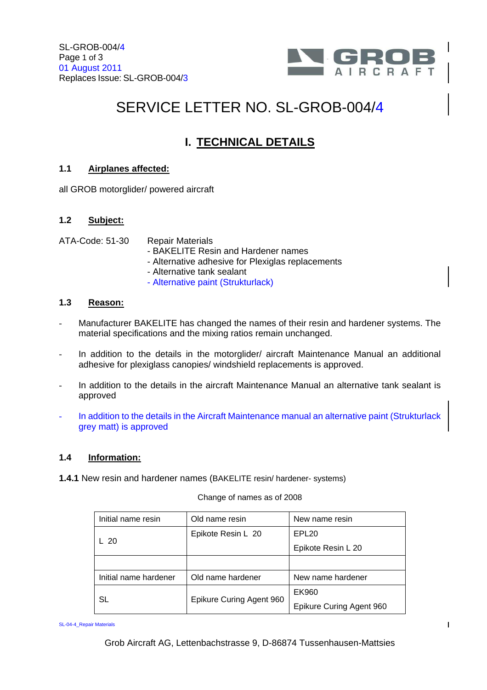

 $\mathbf{I}$ 

# SERVICE LETTER NO. SL-GROB-004/4

## **I. TECHNICAL DETAILS**

#### **1.1 Airplanes affected:**

all GROB motorglider/ powered aircraft

#### **1.2 Subject:**

ATA-Code: 51-30 Repair Materials

- BAKELITE Resin and Hardener names
- Alternative adhesive for Plexiglas replacements
- Alternative tank sealant
- Alternative paint (Strukturlack)

#### **1.3 Reason:**

- Manufacturer BAKELITE has changed the names of their resin and hardener systems. The material specifications and the mixing ratios remain unchanged.
- In addition to the details in the motorglider/ aircraft Maintenance Manual an additional adhesive for plexiglass canopies/ windshield replacements is approved.
- In addition to the details in the aircraft Maintenance Manual an alternative tank sealant is approved
- In addition to the details in the Aircraft Maintenance manual an alternative paint (Strukturlack grey matt) is approved

#### **1.4 Information:**

**1.4.1** New resin and hardener names (BAKELITE resin/ hardener- systems)

Change of names as of 2008

| Initial name resin    | Old name resin           | New name resin           |
|-----------------------|--------------------------|--------------------------|
| L 20                  | Epikote Resin L 20       | EPL <sub>20</sub>        |
|                       |                          | Epikote Resin L 20       |
|                       |                          |                          |
| Initial name hardener | Old name hardener        | New name hardener        |
| SL                    | Epikure Curing Agent 960 | EK960                    |
|                       |                          | Epikure Curing Agent 960 |

SL-04-4\_Repair Materials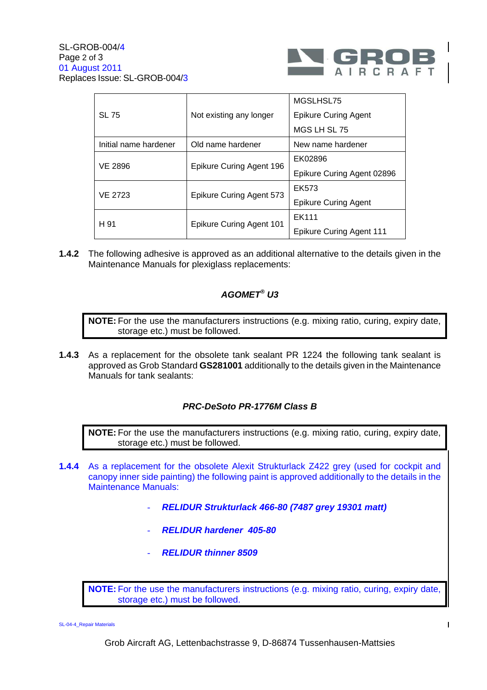

| <b>SL 75</b>          | Not existing any longer  | MGSLHSL75                       |
|-----------------------|--------------------------|---------------------------------|
|                       |                          | <b>Epikure Curing Agent</b>     |
|                       |                          | MGS LH SL 75                    |
| Initial name hardener | Old name hardener        | New name hardener               |
| <b>VE 2896</b>        | Epikure Curing Agent 196 | EK02896                         |
|                       |                          | Epikure Curing Agent 02896      |
| <b>VE 2723</b>        | Epikure Curing Agent 573 | EK573                           |
|                       |                          | <b>Epikure Curing Agent</b>     |
| H 91                  | Epikure Curing Agent 101 | EK111                           |
|                       |                          | <b>Epikure Curing Agent 111</b> |

**1.4.2** The following adhesive is approved as an additional alternative to the details given in the Maintenance Manuals for plexiglass replacements:

#### **AGOMET® U3**

**NOTE:** For the use the manufacturers instructions (e.g. mixing ratio, curing, expiry date, storage etc.) must be followed.

**1.4.3** As a replacement for the obsolete tank sealant PR 1224 the following tank sealant is approved as Grob Standard **GS281001** additionally to the details given in the Maintenance Manuals for tank sealants:

#### **PRC-DeSoto PR-1776M Class B**

**NOTE:** For the use the manufacturers instructions (e.g. mixing ratio, curing, expiry date, storage etc.) must be followed.

- **1.4.4** As a replacement for the obsolete Alexit Strukturlack Z422 grey (used for cockpit and canopy inner side painting) the following paint is approved additionally to the details in the Maintenance Manuals:
	- **RELIDUR Strukturlack 466-80 (7487 grey 19301 matt)**
	- **RELIDUR hardener 405-80**
	- **RELIDUR thinner 8509**

**NOTE:** For the use the manufacturers instructions (e.g. mixing ratio, curing, expiry date, storage etc.) must be followed.

SL-04-4\_Repair Materials